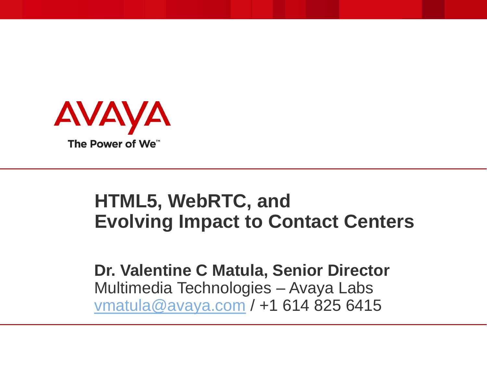

# **HTML5, WebRTC, and Evolving Impact to Contact Centers**

**Dr. Valentine C Matula, Senior Director** Multimedia Technologies – Avaya Labs [vmatula@avaya.com](mailto:vmatula@avaya.com) / +1 614 825 6415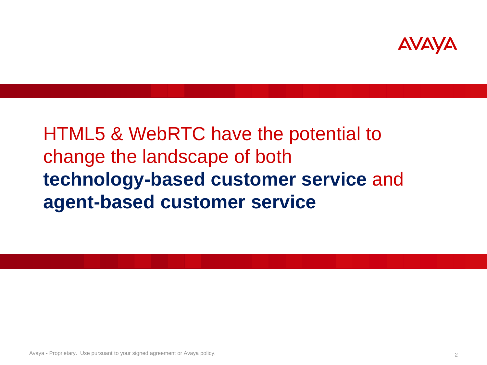

HTML5 & WebRTC have the potential to change the landscape of both **technology-based customer service** and **agent-based customer service**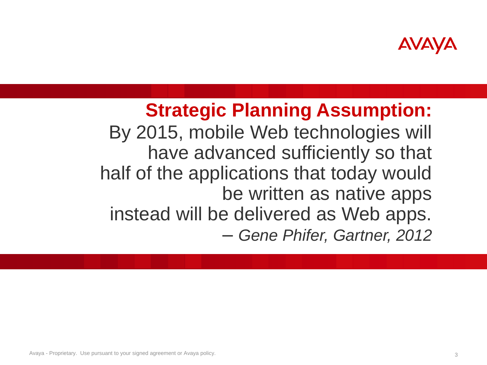

# **Strategic Planning Assumption:** By 2015, mobile Web technologies will have advanced sufficiently so that half of the applications that today would be written as native apps instead will be delivered as Web apps. *– Gene Phifer, Gartner, 2012*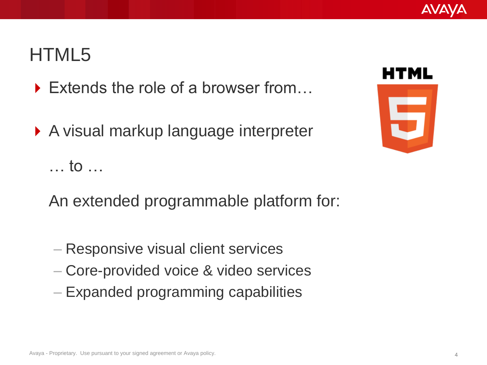### HTML5

- ▶ Extends the role of a browser from...
- ▶ A visual markup language interpreter … to …
	- An extended programmable platform for:
	- Responsive visual client services
	- Core-provided voice & video services
	- Expanded programming capabilities

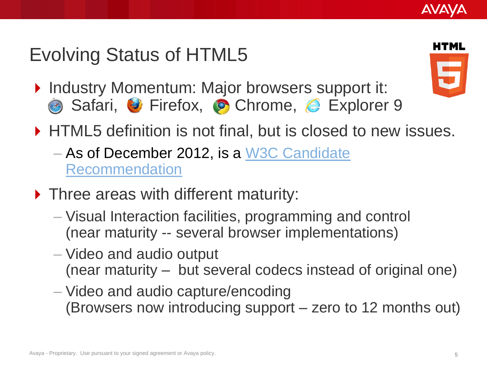# Evolving Status of HTML5

- ▶ Industry Momentum: Major browsers support it: **.** Safari, **U** Firefox, **O** Chrome, *C* Explorer 9
- ▶ HTML5 definition is not final, but is closed to new issues.
	- As of December 2012, is a [W3C Candidate](http://en.wikipedia.org/wiki/W3C_recommendation)  [Recommendation](http://en.wikipedia.org/wiki/W3C_recommendation)
- ▶ Three areas with different maturity:
	- Visual Interaction facilities, programming and control (near maturity -- several browser implementations)
	- Video and audio output (near maturity – but several codecs instead of original one)
	- Video and audio capture/encoding (Browsers now introducing support – zero to 12 months out)

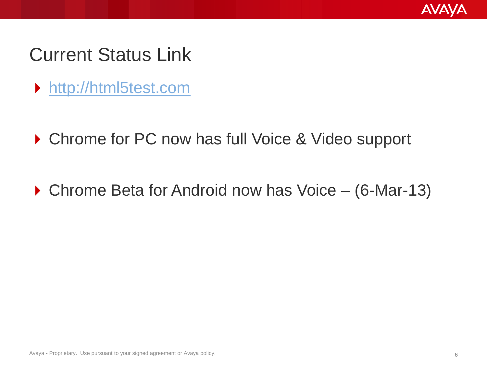

#### Current Status Link

- [http://html5test.com](http://html5test.com/)
- ▶ Chrome for PC now has full Voice & Video support
- ▶ Chrome Beta for Android now has Voice (6-Mar-13)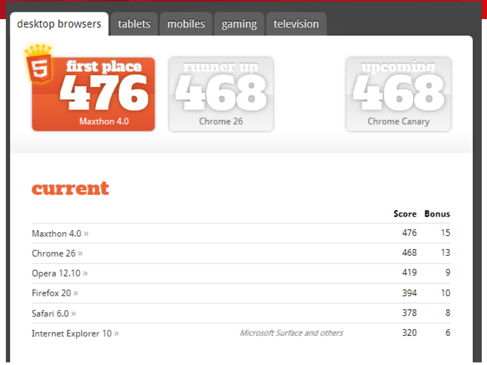

#### current

|                        |                              |     | Score Bonus |
|------------------------|------------------------------|-----|-------------|
| Maxthon 4.0 »          |                              | 476 | 15.         |
| Chrome 26 »            |                              | 468 | 13.         |
| Opera 12.10 »          |                              | 419 | 9           |
| Firefox 20 »           |                              | 394 | 10.         |
| Safari 6.0 »           |                              | 378 | -8          |
| Internet Explorer 10 » | Microsoft Surface and others | 320 | 6           |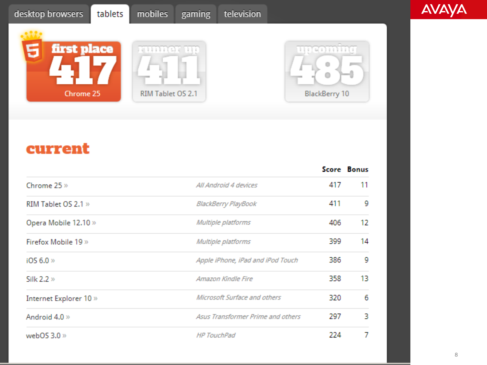

| b is | ×                 |  |
|------|-------------------|--|
|      |                   |  |
|      |                   |  |
|      | RIM Tablet OS 2.1 |  |



#### current

|                        |                                   |     | Score Bonus |
|------------------------|-----------------------------------|-----|-------------|
| Chrome 25 »            | All Android 4 devices             | 417 | 11          |
| RIM Tablet OS 2.1 »    | BlackBerry PlayBook               | 411 | 9           |
| Opera Mobile 12.10 »   | Multiple platforms                | 406 | 12          |
| Firefox Mobile 19»     | Multiple platforms                | 399 | 14          |
| iOS 6.0 »              | Apple iPhone, iPad and iPod Touch | 386 | 9           |
| Silk $2.2 \times$      | Amazon Kindle Fire                | 358 | 13          |
| Internet Explorer 10 » | Microsoft Surface and others      | 320 | 6           |
| Android 4.0 »          | Asus Transformer Prime and others | 297 | з           |
| webOS $3.0 \times$     | <b>HP TouchPad</b>                | 224 | 7           |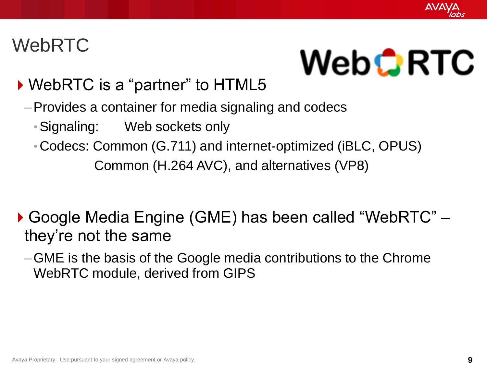

# WebRTC

# **WebCRTC**

#### ▶ WebRTC is a "partner" to HTML5

- –Provides a container for media signaling and codecs
	- •Signaling: Web sockets only
	- •Codecs: Common (G.711) and internet-optimized (iBLC, OPUS) Common (H.264 AVC), and alternatives (VP8)
- ▶ Google Media Engine (GME) has been called "WebRTC" they're not the same
	- –GME is the basis of the Google media contributions to the Chrome WebRTC module, derived from GIPS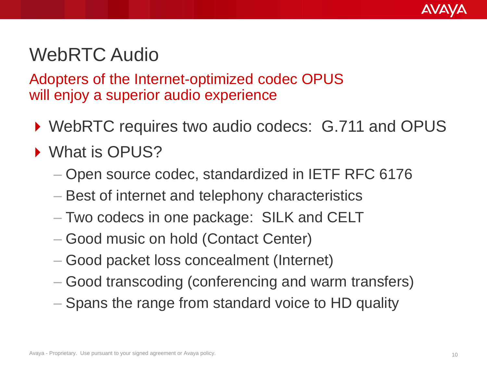

## WebRTC Audio

Adopters of the Internet-optimized codec OPUS will enjoy a superior audio experience

- ▶ WebRTC requires two audio codecs: G.711 and OPUS
- ▶ What is OPUS?
	- Open source codec, standardized in IETF RFC 6176
	- Best of internet and telephony characteristics
	- Two codecs in one package: SILK and CELT
	- Good music on hold (Contact Center)
	- Good packet loss concealment (Internet)
	- Good transcoding (conferencing and warm transfers)
	- Spans the range from standard voice to HD quality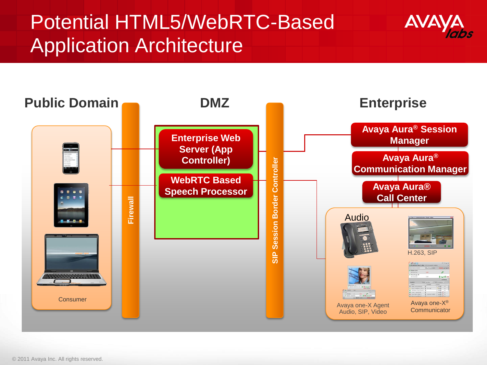# Potential HTML5/WebRTC-Based Application Architecture



© 2011 Avaya Inc. All rights reserved.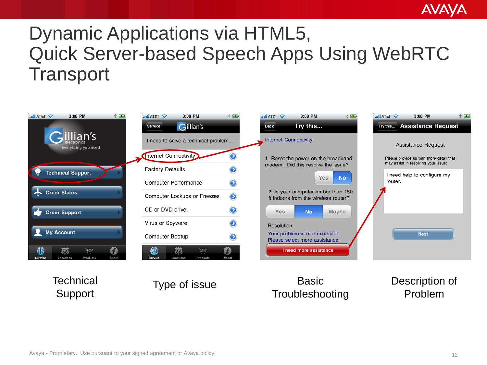#### **AVAVA**

# Dynamic Applications via HTML5, Quick Server-based Speech Apps Using WebRTC **Transport**



**Troubleshooting** 

Problem

Support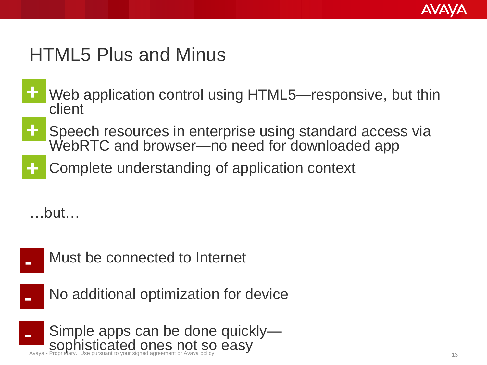

## HTML5 Plus and Minus

- Web application control using HTML5—responsive, but thin client **+**
- Speech resources in enterprise using standard access via WebRTC and browser-no need for downloaded app **+**
- Complete understanding of application context **+**

…but…



Must be connected to Internet

No additional optimization for device

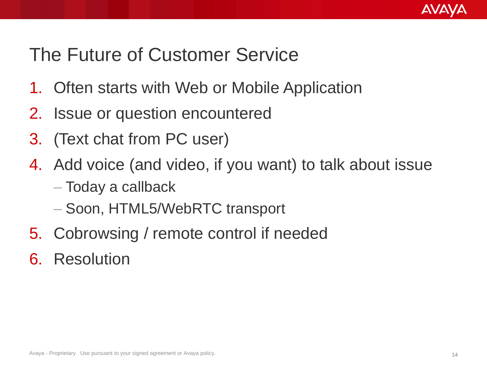

# The Future of Customer Service

- 1. Often starts with Web or Mobile Application
- 2. Issue or question encountered
- 3. (Text chat from PC user)
- 4. Add voice (and video, if you want) to talk about issue
	- Today a callback
	- Soon, HTML5/WebRTC transport
- 5. Cobrowsing / remote control if needed
- 6. Resolution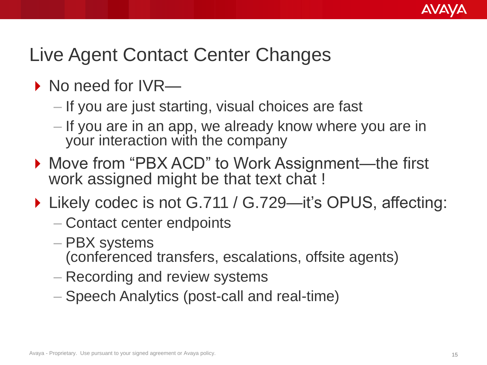

# Live Agent Contact Center Changes

- ▶ No need for IVR—
	- If you are just starting, visual choices are fast
	- If you are in an app, we already know where you are in your interaction with the company
- ▶ Move from "PBX ACD" to Work Assignment—the first work assigned might be that text chat !
- ▶ Likely codec is not G.711 / G.729—it's OPUS, affecting:
	- Contact center endpoints
	- PBX systems (conferenced transfers, escalations, offsite agents)
	- Recording and review systems
	- Speech Analytics (post-call and real-time)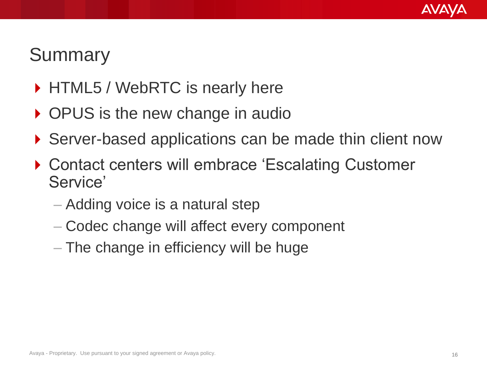

## **Summary**

- ▶ HTML5 / WebRTC is nearly here
- ▶ OPUS is the new change in audio
- ▶ Server-based applications can be made thin client now
- ▶ Contact centers will embrace 'Escalating Customer Service'
	- Adding voice is a natural step
	- Codec change will affect every component
	- The change in efficiency will be huge